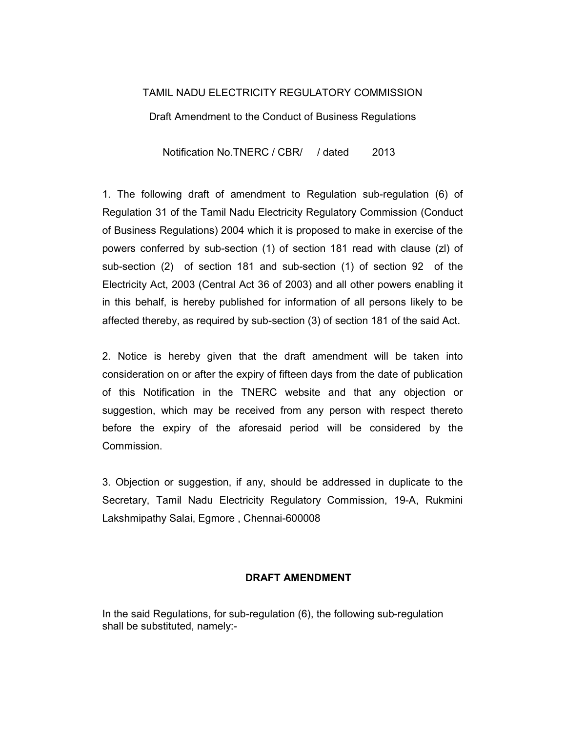## TAMIL NADU ELECTRICITY REGULATORY COMMISSION

Draft Amendment to the Conduct of Business Regulations

Notification No.TNERC / CBR/ / dated 2013

1. The following draft of amendment to Regulation sub-regulation (6) of Regulation 31 of the Tamil Nadu Electricity Regulatory Commission (Conduct of Business Regulations) 2004 which it is proposed to make in exercise of the powers conferred by sub-section (1) of section 181 read with clause (zl) of sub-section (2) of section 181 and sub-section (1) of section 92 of the Electricity Act, 2003 (Central Act 36 of 2003) and all other powers enabling it in this behalf, is hereby published for information of all persons likely to be affected thereby, as required by sub-section (3) of section 181 of the said Act.

2. Notice is hereby given that the draft amendment will be taken into consideration on or after the expiry of fifteen days from the date of publication of this Notification in the TNERC website and that any objection or suggestion, which may be received from any person with respect thereto before the expiry of the aforesaid period will be considered by the Commission.

3. Objection or suggestion, if any, should be addressed in duplicate to the Secretary, Tamil Nadu Electricity Regulatory Commission, 19-A, Rukmini Lakshmipathy Salai, Egmore , Chennai-600008

## DRAFT AMENDMENT

In the said Regulations, for sub-regulation (6), the following sub-regulation shall be substituted, namely:-